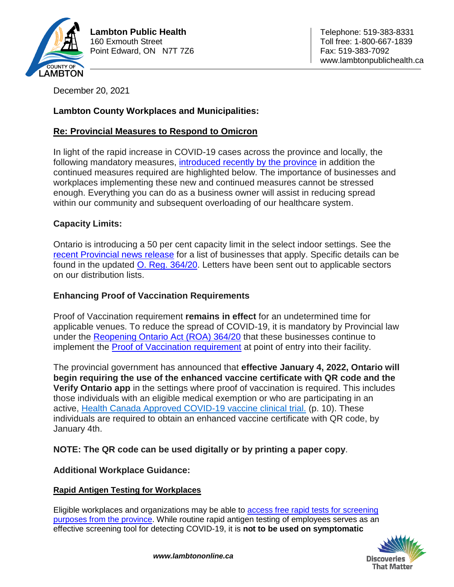

December 20, 2021

# **Lambton County Workplaces and Municipalities:**

## **Re: Provincial Measures to Respond to Omicron**

In light of the rapid increase in COVID-19 cases across the province and locally, the following mandatory measures, [introduced recently by the province](https://news.ontario.ca/en/release/1001366/ontario-further-strengthening-response-to-omicron) in addition the continued measures required are highlighted below. The importance of businesses and workplaces implementing these new and continued measures cannot be stressed enough. Everything you can do as a business owner will assist in reducing spread within our community and subsequent overloading of our healthcare system.

# **Capacity Limits:**

Ontario is introducing a 50 per cent capacity limit in the select indoor settings. See the [recent Provincial news release](https://news.ontario.ca/en/release/1001366/ontario-further-strengthening-response-to-omicron) for a list of businesses that apply. Specific details can be found in the updated O. Reg. [364/20.](https://www.ontario.ca/laws/regulation/200364) Letters have been sent out to applicable sectors on our distribution lists.

## **Enhancing Proof of Vaccination Requirements**

Proof of Vaccination requirement **remains in effect** for an undetermined time for applicable venues. To reduce the spread of COVID-19, it is mandatory by Provincial law under the [Reopening Ontario Act \(ROA\) 364/20](https://www.ontario.ca/laws/regulation/200364) that these businesses continue to implement the [Proof of Vaccination requirement](https://www.health.gov.on.ca/en/pro/programs/publichealth/coronavirus/docs/guidance_proof_of_vaccination_for_businesses_and_organizations.pdf) at point of entry into their facility.

The provincial government has announced that **effective January 4, 2022, Ontario will begin requiring the use of the enhanced vaccine certificate with QR code and the Verify Ontario app** in the settings where proof of vaccination is required. This includes those individuals with an eligible medical exemption or who are participating in an active, Health Canada Approved COVID-19 vaccine clinical trial. (p. 10). These individuals are required to obtain an enhanced vaccine certificate with QR code, by January 4th.

## **NOTE: The QR code can be used digitally or by printing a paper copy**.

## **Additional Workplace Guidance:**

### **Rapid Antigen Testing for Workplaces**

Eligible workplaces and organizations may be able to [access free rapid tests for screening](https://covid-19.ontario.ca/get-free-rapid-tests)  [purposes from the province.](https://covid-19.ontario.ca/get-free-rapid-tests) While routine rapid antigen testing of employees serves as an effective screening tool for detecting COVID-19, it is **not to be used on symptomatic**